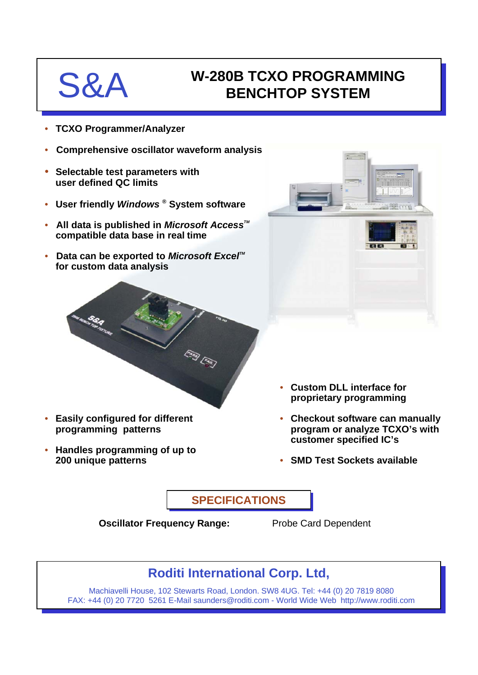# S&A W-280B TCXO PROGRAMMING **BENCHTOP SYSTEM**

- **TCXO Programmer/Analyzer**
- **Comprehensive oscillator waveform analysis**
- **Selectable test parameters with user defined QC limits**

**programming patterns**

**200 unique patterns**

• **Handles programming of up to** 

- **User friendly** *Windows* **® System software**
- **All data is published in** *Microsoft Access***<sup>™</sup> compatible data base in real time**
- **Data can be exported to Microsoft Excel™ for custom data analysis**



- **Easily configured for different proprietary programming**
	- **Checkout software can manually program or analyze TCXO's with customer specified IC's**
	- **SMD Test Sockets available**

• **Custom DLL interface for** 

**SPECIFICATIONS**

**Oscillator Frequency Range:** Probe Card Dependent

# **Roditi International Corp. Ltd,**

Machiavelli House, 102 Stewarts Road, London. SW8 4UG. Tel: +44 (0) 20 7819 8080 FAX: +44 (0) 20 7720 5261 E-Mail saunders@roditi.com - World Wide Web http://www.roditi.com